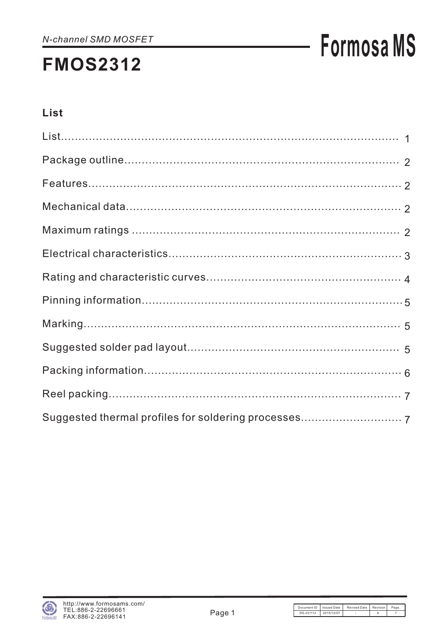## **Formosa MS**

#### List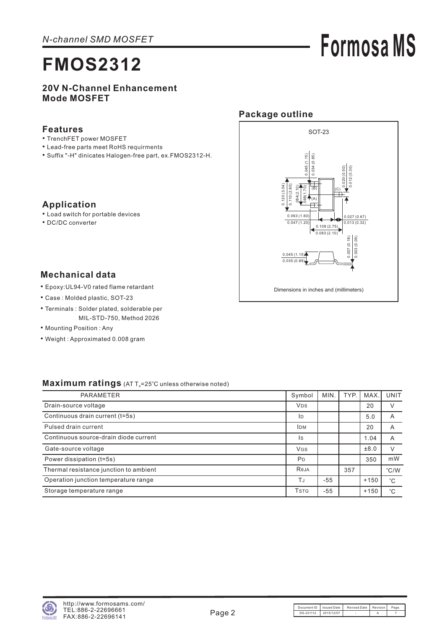## **Formosa MS**

#### **20V N-Channel Enhancement Mode MOSFET**

#### **Features**

**Application**

• DC/DC converter

- TrenchFET power MOSFET
- Lead-free parts meet RoHS requirments
- Suffix "-H" dinicates Halogen-free part, ex.FMOS2312-H. •

#### $.068(1.70)$   $|$   $.045(1.15)$  $0.045(1.15)$ 0.034 (0.85) 0.034 (0.85) 0.020 (0.50) 0.012 (0.30) 0.120 (3.04) 20 (3.04 0.110 (2.80) .084(2.10)  $(B)$   $|(C)$ (A) 0.063 (1.60) 0.027 (0.67)  $0.013(0.32)$ 0.047 (1.20) 0.108 (2.75) d 0.083 (2.10)  $\frac{1}{003(0.09)}$ 0.007 (0.18) 0.003 (0.09)  $0.007(0.18)$  $0.045(1.15)$  $\overline{0.035(0.8)}$ Dimensions in inches and (millimeters)

SOT-23

**Package outline**

#### **Mechanical data**

Epoxy:UL94-V0 rated flame retardant •

• Load switch for portable devices

- Case : Molded plastic, SOT-23
- Terminals : Solder plated, solderable per MIL-STD-750, Method 2026
- Mounting Position: Any
- Weight : Approximated 0.008 gram

#### Maximum ratings (AT T<sub>A</sub>=25°C unless otherwise noted)

| <b>PARAMETER</b>                       | Symbol                | MIN. | TYP. | <b>MAX</b> | <b>UNIT</b>   |
|----------------------------------------|-----------------------|------|------|------------|---------------|
| Drain-source voltage                   | <b>V<sub>DS</sub></b> |      |      | 20         | V             |
| Continuous drain current (t=5s)        | ID                    |      |      | 5.0        | A             |
| Pulsed drain current                   | <b>IDM</b>            |      |      | 20         | A             |
| Continuous source-drain diode current  | Is                    |      |      | 1.04       | A             |
| Gate-source voltage                    | <b>VGS</b>            |      |      | ±8.0       | $\vee$        |
| Power dissipation (t=5s)               | <b>P</b> <sub>D</sub> |      |      | 350        | mW            |
| Thermal resistance junction to ambient | Reja                  |      | 357  |            | $\degree$ C/W |
| Operation junction temperature range   | TJ                    | -55  |      | $+150$     | $^{\circ}C$   |
| Storage temperature range              | <b>TSTG</b>           | -55  |      | $+150$     | $^{\circ}C$   |

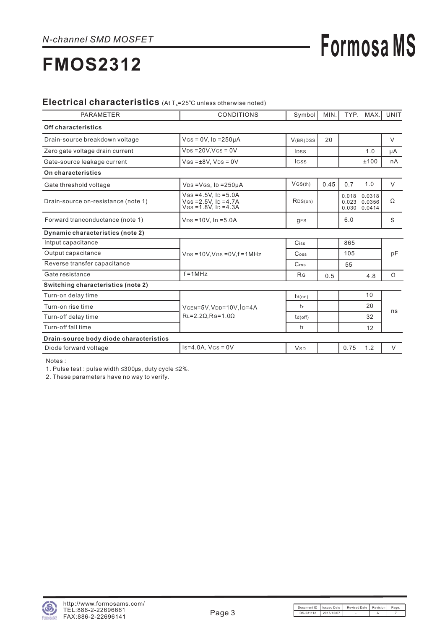# **Formosa MS**

## **FMOS2312**

#### Electrical characteristics (At T<sub>A</sub>=25°C unless otherwise noted)

| <b>PARAMETER</b>                        | <b>CONDITIONS</b>                                                                | Symbol                      | MIN. | TYP.                    | MAX.                       | <b>UNIT</b> |  |
|-----------------------------------------|----------------------------------------------------------------------------------|-----------------------------|------|-------------------------|----------------------------|-------------|--|
| Off characteristics                     |                                                                                  |                             |      |                         |                            |             |  |
| Drain-source breakdown voltage          | $V$ GS = 0V, ID = 250µA                                                          | V(BR)DSS                    | 20   |                         |                            | $\vee$      |  |
| Zero gate voltage drain current         | $VDS = 20V.VGS = 0V$                                                             | IDSS                        |      |                         | 1.0                        | μA          |  |
| Gate-source leakage current             | $V$ GS = $±8V$ , $V$ DS = 0V                                                     | <b>IGSS</b>                 |      |                         | ±100                       | nA          |  |
| On characteristics                      |                                                                                  |                             |      |                         |                            |             |  |
| Gate threshold voltage                  | $VDS = VGS$ , $ID = 250\mu A$                                                    | VGS(th)                     | 0.45 | 0.7                     | 1.0                        | $\vee$      |  |
| Drain-source on-resistance (note 1)     | $V$ GS = 4.5V, ID = 5.0A<br>$V$ GS = 2.5V, ID = 4.7A<br>$V$ Gs = 1.8V. ID = 4.3A | RDS(on)                     |      | 0.018<br>0.023<br>0.030 | 0.0318<br>0.0356<br>0.0414 | Ω           |  |
| Forward tranconductance (note 1)        | $VDS = 10V$ . ID = 5.0A                                                          | <b>gFS</b>                  |      | 6.0                     |                            | S           |  |
| Dynamic characteristics (note 2)        |                                                                                  |                             |      |                         |                            |             |  |
| Intput capacitance                      |                                                                                  | Ciss                        |      | 865                     |                            |             |  |
| Output capacitance                      | $V_{DS} = 10V$ , $V_{GS} = 0V$ , $f = 1$ MHz                                     | $\mathrm{C}$ <sub>oss</sub> |      | 105                     |                            | pF          |  |
| Reverse transfer capacitance            |                                                                                  | Crss                        |      | 55                      |                            |             |  |
| Gate resistance                         | $f = 1MHz$                                                                       | R <sub>G</sub>              | 0.5  |                         | 4.8                        | Ω           |  |
| Switching characteristics (note 2)      |                                                                                  |                             |      |                         |                            |             |  |
| Turn-on delay time                      |                                                                                  | $td($ on $)$                |      |                         | 10                         |             |  |
| Turn-on rise time                       | VGEN=5V, VDD=10V, ID=4A                                                          | tr                          |      |                         | 20                         | ns          |  |
| Turn-off delay time                     | $RL = 2.2 \Omega$ . RG=1.00                                                      | $td($ off $)$               |      |                         | 32                         |             |  |
| Turn-off fall time                      |                                                                                  | tf                          |      |                         | 12                         |             |  |
| Drain-source body diode characteristics |                                                                                  |                             |      |                         |                            |             |  |
| Diode forward voltage                   | $Is=4.0A, V(s=0V)$                                                               | <b>V<sub>SD</sub></b>       |      | 0.75                    | 1.2                        | $\vee$      |  |

Notes :

1. Pulse test : pulse width ≤300µs, duty cycle ≤2%.

2. These parameters have no way to verify.

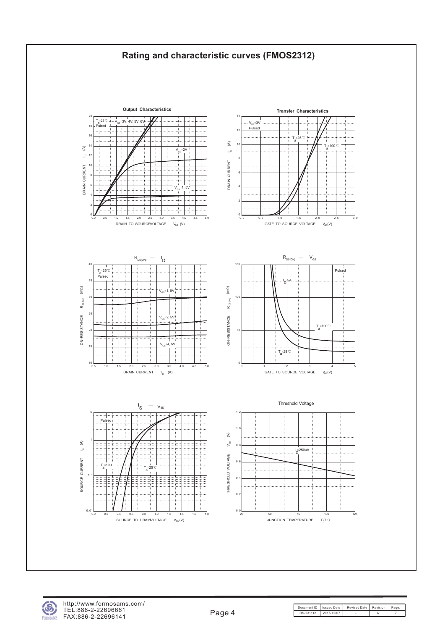



Document ID | Issued Date | Revised Date | Revision | Page DS-231112 2015/12/07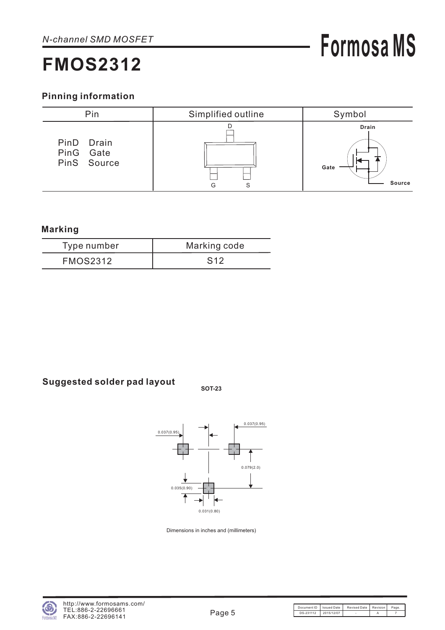#### **Pinning information**



#### **Marking**

| Type number     | Marking code |
|-----------------|--------------|
| <b>FMOS2312</b> | S12          |

### **Suggested solder pad layout SOT-23**



Dimensions in inches and (millimeters)

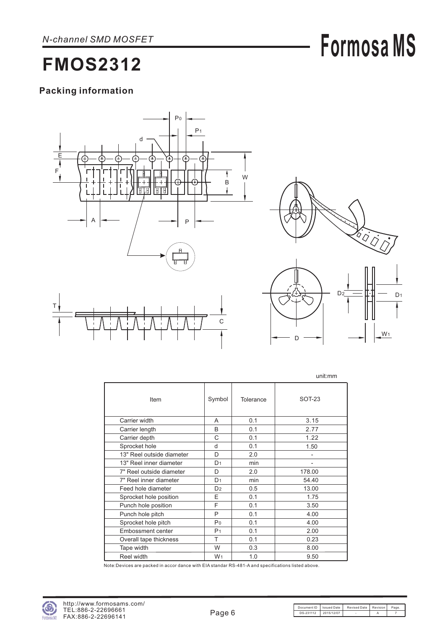## **Formosa MS**

### **FMOS2312**

#### **Packing information**





W<sub>1</sub>

D

|                           |                |           | unit:mm        |
|---------------------------|----------------|-----------|----------------|
| Item                      | Symbol         | Tolerance | SOT-23         |
| Carrier width             | A              | 0.1       | 3.15           |
| Carrier length            | B              | 0.1       | 2.77           |
| Carrier depth             | C              | 0.1       | 1.22           |
| Sprocket hole             | d              | 0.1       | 1.50           |
| 13" Reel outside diameter | D              | 2.0       | $\overline{a}$ |
| 13" Reel inner diameter   | D <sub>1</sub> | min       |                |
| 7" Reel outside diameter  | D              | 2.0       | 178.00         |
| 7" Reel inner diameter    | D <sub>1</sub> | min       | 54.40          |
| Feed hole diameter        | D <sub>2</sub> | 0.5       | 13.00          |
| Sprocket hole position    | E              | 0.1       | 1.75           |
| Punch hole position       | F              | 0.1       | 3.50           |
| Punch hole pitch          | P              | 0.1       | 4.00           |
| Sprocket hole pitch       | P <sub>0</sub> | 0.1       | 4.00           |
| Embossment center         | P <sub>1</sub> | 0.1       | 2.00           |
| Overall tape thickness    | т              | 0.1       | 0.23           |
| Tape width                | W              | 0.3       | 8.00           |
| Reel width                | W <sub>1</sub> | 1.0       | 9.50           |

Note:Devices are packed in accor dance with EIA standar RS-481-A and specifications listed above.